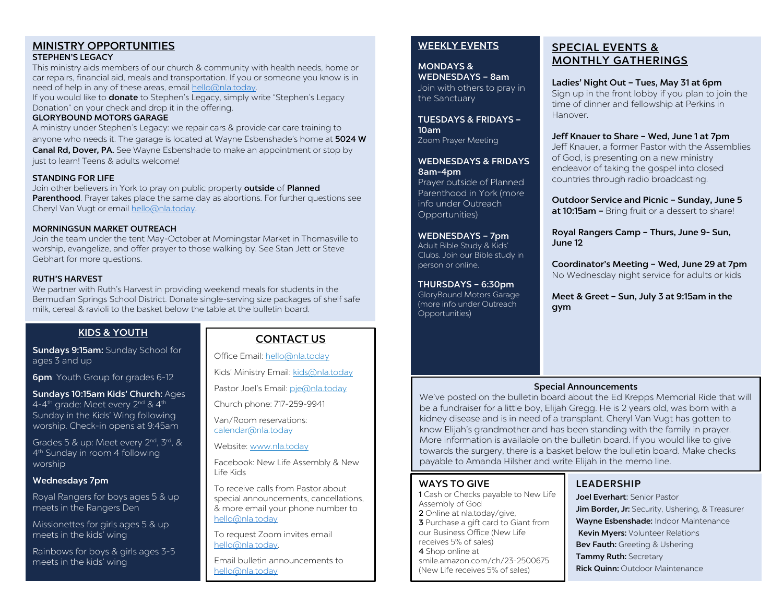#### MINISTRY OPPORTUNITIES STEPHEN'S LEGACY

This ministry aids members of our church & community with health needs, home or car repairs, financial aid, meals and transportation. If you or someone you know is in need of help in any of these areas, email [hello@nla.today.](mailto:hello@nla.today) 

If you would like to **donate** to Stephen's Legacy, simply write "Stephen's Legacy Donation" on your check and drop it in the offering.

### GLORYBOUND MOTORS GARAGE

A ministry under Stephen's Legacy: we repair cars & provide car care training to anyone who needs it. The garage is located at Wayne Esbenshade's home at 5024 W Canal Rd, Dover, PA. See Wayne Esbenshade to make an appointment or stop by just to learn! Teens & adults welcome!

#### STANDING FOR LIFE

Join other believers in York to pray on public property outside of Planned Parenthood. Prayer takes place the same day as abortions. For further questions see Cheryl Van Vugt or email [hello@nla.today.](mailto:hello@nla.today) 

#### MORNINGSUN MARKET OUTREACH

Join the team under the tent May-October at Morningstar Market in Thomasville to worship, evangelize, and offer prayer to those walking by. See Stan Jett or Steve Gebhart for more questions.

#### RUTH'S HARVEST

We partner with Ruth's Harvest in providing weekend meals for students in the Bermudian Springs School District. Donate single-serving size packages of shelf safe milk, cereal & ravioli to the basket below the table at the bulletin board.

## KIDS & YOUTH

Sundays 9:15am: Sunday School for ages 3 and up

**6pm**: Youth Group for grades 6-12

Sundays 10:15am Kids' Church: Ages 4-4<sup>th</sup> grade: Meet every 2<sup>nd</sup> & 4<sup>th</sup> Sunday in the Kids' Wing following worship. Check-in opens at 9:45am

Grades 5 & up: Meet every 2<sup>nd</sup>, 3<sup>rd</sup>, & 4th Sunday in room 4 following worship

#### Wednesdays 7pm

Royal Rangers for boys ages 5 & up meets in the Rangers Den

Missionettes for girls ages 5 & up meets in the kids' wing

Rainbows for boys & girls ages 3-5 meets in the kids' wing

# CONTACT US

Office Email[: hello@nla.today](mailto:hello@nla.today)

Kids' Ministry Email[: kids@nla.today](mailto:kids@nla.today)

Pastor Joel's Email: [pje@nla.today](mailto:pje@nla.today)

Church phone: 717-259-9941

Van/Room reservations: calendar@nla.today

Website: [www.nla.today](http://www.nla.today/)

Facebook: New Life Assembly & New Life Kids

To receive calls from Pastor about special announcements, cancellations, & more email your phone number to [hello@nla.today](mailto:hello@nla.today)

To request Zoom invites email [hello@nla.today.](mailto:hello@nla.today) 

Email bulletin announcements to [hello@nla.today](mailto:hello@nla.today)

## WEEKLY EVENTS

MONDAYS & WEDNESDAYS – 8am Join with others to pray in the Sanctuary

TUESDAYS & FRIDAYS – 10am Zoom Prayer Meeting

WEDNESDAYS & FRIDAYS 8am-4pm

Prayer outside of Planned Parenthood in York (more info under Outreach Opportunities)

WEDNESDAYS – 7pm

Adult Bible Study & Kids' Clubs. Join our Bible study in person or online.

#### THURSDAYS – 6:30pm

GloryBound Motors Garage (more info under Outreach Opportunities)

# SPECIAL EVENTS & MONTHLY GATHERINGS

Ladies' Night Out – Tues, May 31 at 6pm

Sign up in the front lobby if you plan to join the time of dinner and fellowship at Perkins in Hanover.

## Jeff Knauer to Share – Wed, June 1 at 7pm

Jeff Knauer, a former Pastor with the Assemblies of God, is presenting on a new ministry endeavor of taking the gospel into closed countries through radio broadcasting.

Outdoor Service and Picnic – Sunday, June 5 at 10:15am - Bring fruit or a dessert to share!

Royal Rangers Camp – Thurs, June 9- Sun, June 12

Coordinator's Meeting – Wed, June 29 at 7pm No Wednesday night service for adults or kids

Meet & Greet – Sun, July 3 at 9:15am in the gym

## Special Announcements

We've posted on the bulletin board about the Ed Krepps Memorial Ride that will be a fundraiser for a little boy, Elijah Gregg. He is 2 years old, was born with a kidney disease and is in need of a transplant. Cheryl Van Vugt has gotten to know Elijah's grandmother and has been standing with the family in prayer. More information is available on the bulletin board. If you would like to give towards the surgery, there is a basket below the bulletin board. Make checks payable to Amanda Hilsher and write Elijah in the memo line.

## WAYS TO GIVE

1 Cash or Checks payable to New Life Assembly of God 2 Online at nla.today/give, **3** Purchase a gift card to Giant from our Business Office (New Life receives 5% of sales) 4 Shop online at smile.amazon.com/ch/23-2500675 (New Life receives 5% of sales)

# LEADERSHIP

Joel Everhart: Senior Pastor Jim Border, Jr: Security, Ushering, & Treasurer Wayne Esbenshade: Indoor Maintenance Kevin Myers: Volunteer Relations Bev Fauth: Greeting & Ushering Tammy Ruth: Secretary **Rick Quinn: Outdoor Maintenance**